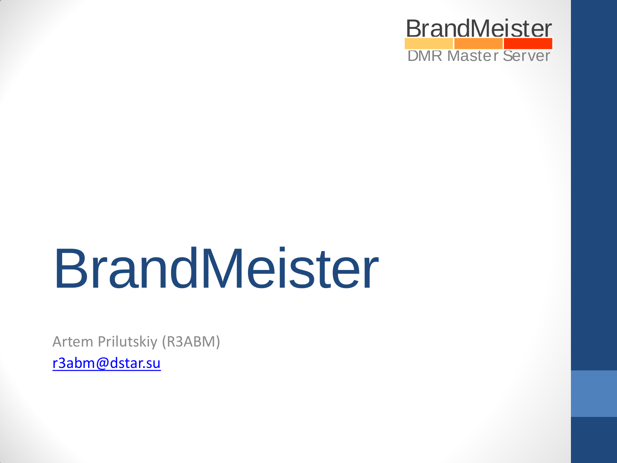

# BrandMeister

Artem Prilutskiy (R3ABM)

[r3abm@dstar.su](mailto:r3abm@dstar.su)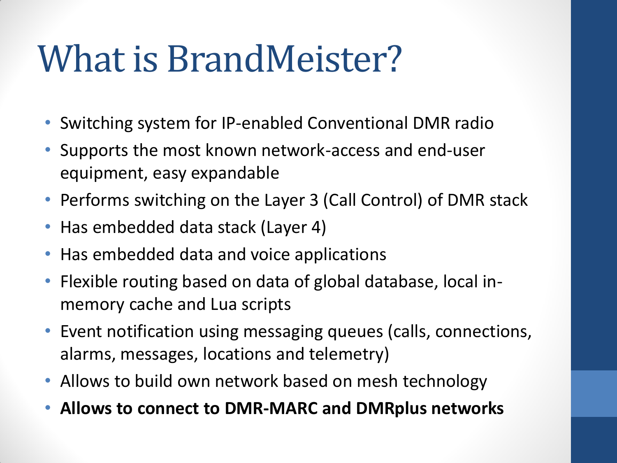#### What is BrandMeister?

- Switching system for IP-enabled Conventional DMR radio
- Supports the most known network-access and end-user equipment, easy expandable
- Performs switching on the Layer 3 (Call Control) of DMR stack
- Has embedded data stack (Layer 4)
- Has embedded data and voice applications
- Flexible routing based on data of global database, local inmemory cache and Lua scripts
- Event notification using messaging queues (calls, connections, alarms, messages, locations and telemetry)
- Allows to build own network based on mesh technology
- **Allows to connect to DMR-MARC and DMRplus networks**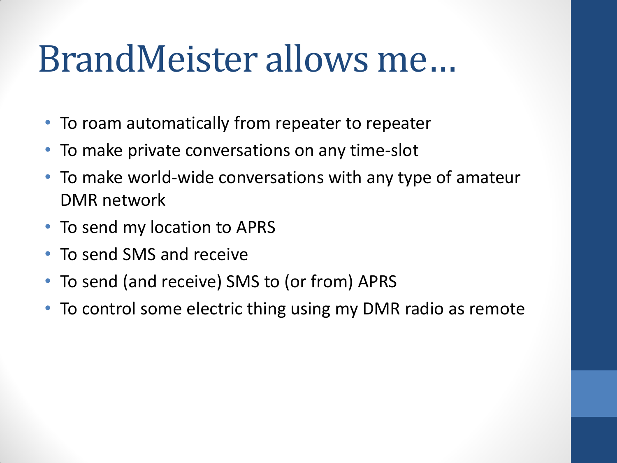#### BrandMeister allows me…

- To roam automatically from repeater to repeater
- To make private conversations on any time-slot
- To make world-wide conversations with any type of amateur DMR network
- To send my location to APRS
- To send SMS and receive
- To send (and receive) SMS to (or from) APRS
- To control some electric thing using my DMR radio as remote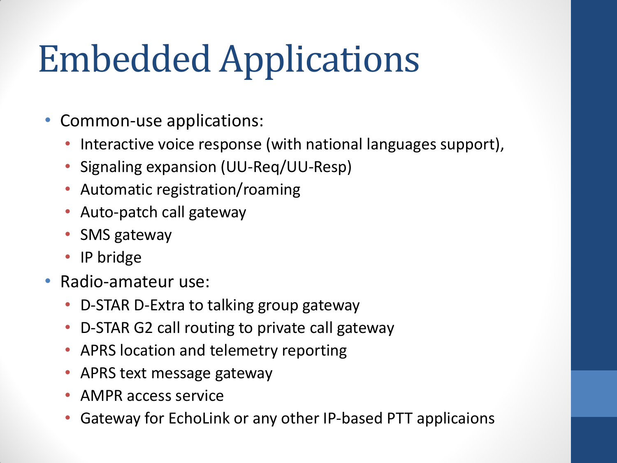# Embedded Applications

- Common-use applications:
	- Interactive voice response (with national languages support),
	- Signaling expansion (UU-Req/UU-Resp)
	- Automatic registration/roaming
	- Auto-patch call gateway
	- SMS gateway
	- IP bridge
- Radio-amateur use:
	- D-STAR D-Extra to talking group gateway
	- D-STAR G2 call routing to private call gateway
	- APRS location and telemetry reporting
	- APRS text message gateway
	- AMPR access service
	- Gateway for EchoLink or any other IP-based PTT applicaions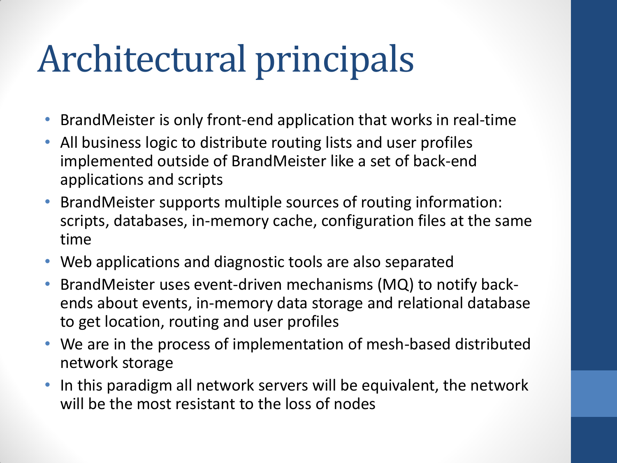## Architectural principals

- BrandMeister is only front-end application that works in real-time
- All business logic to distribute routing lists and user profiles implemented outside of BrandMeister like a set of back-end applications and scripts
- BrandMeister supports multiple sources of routing information: scripts, databases, in-memory cache, configuration files at the same time
- Web applications and diagnostic tools are also separated
- BrandMeister uses event-driven mechanisms (MQ) to notify backends about events, in-memory data storage and relational database to get location, routing and user profiles
- We are in the process of implementation of mesh-based distributed network storage
- In this paradigm all network servers will be equivalent, the network will be the most resistant to the loss of nodes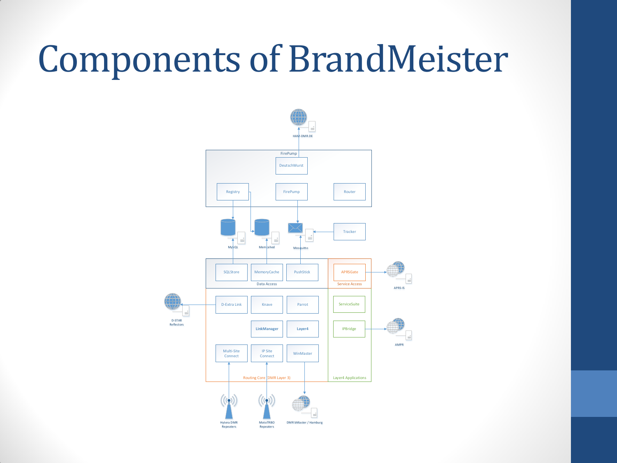#### Components of BrandMeister

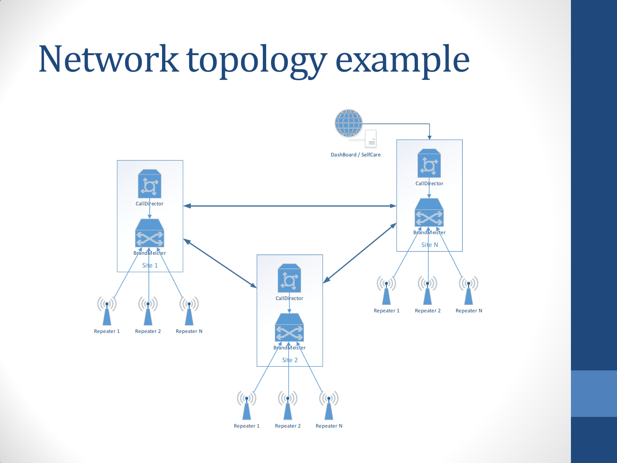### Network topology example